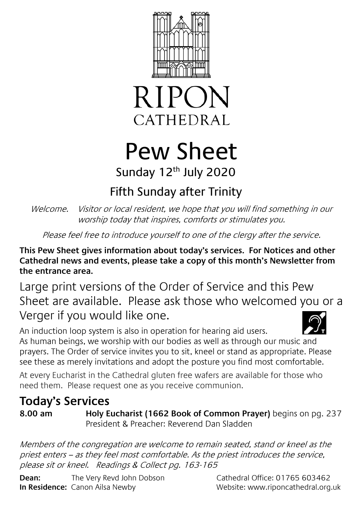



# Pew Sheet Sunday 12<sup>th</sup> July 2020

# Fifth Sunday after Trinity

Welcome. Visitor or local resident, we hope that you will find something in our worship today that inspires, comforts or stimulates you.

Please feel free to introduce yourself to one of the clergy after the service.

**This Pew Sheet gives information about today's services. For Notices and other Cathedral news and events, please take a copy of this month's Newsletter from the entrance area.** 

Large print versions of the Order of Service and this Pew Sheet are available. Please ask those who welcomed you or a Verger if you would like one.

An induction loop system is also in operation for hearing aid users. As human beings, we worship with our bodies as well as through our music and prayers. The Order of service invites you to sit, kneel or stand as appropriate. Please see these as merely invitations and adopt the posture you find most comfortable.

At every Eucharist in the Cathedral gluten free wafers are available for those who need them. Please request one as you receive communion.

## **Today's Services**

**8.00 am Holy Eucharist (1662 Book of Common Prayer)** begins on pg. 237 President & Preacher: Reverend Dan Sladden

Members of the congregation are welcome to remain seated, stand or kneel as the priest enters – as they feel most comfortable. As the priest introduces the service, please sit or kneel. Readings & Collect pg. 163-165

**Dean:** The Very Revd John Dobson Cathedral Office: 01765 603462 **In Residence:** Canon Ailsa Newby Website: www.riponcathedral.org.uk